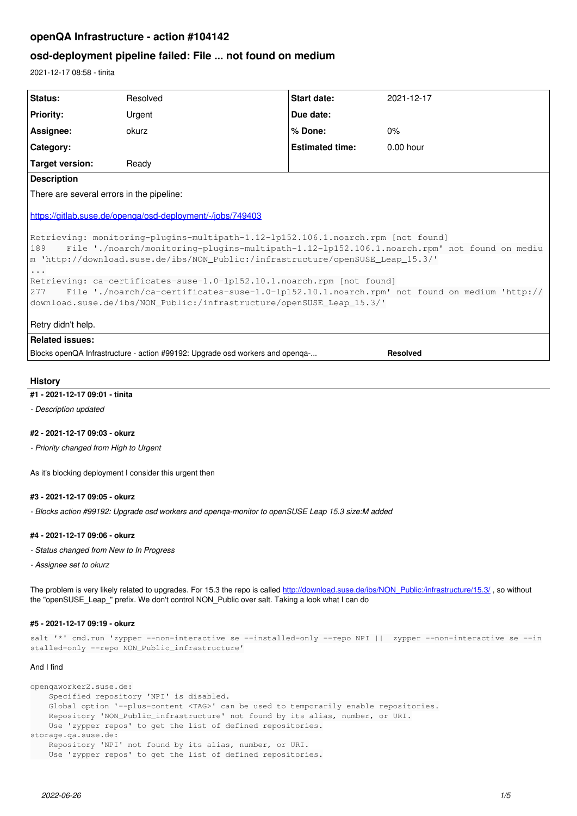# **openQA Infrastructure - action #104142**

# **osd-deployment pipeline failed: File ... not found on medium**

2021-12-17 08:58 - tinita

| Status:                                                                                                                                                                              | Resolved | Start date:            | 2021-12-17  |
|--------------------------------------------------------------------------------------------------------------------------------------------------------------------------------------|----------|------------------------|-------------|
| <b>Priority:</b>                                                                                                                                                                     | Urgent   | Due date:              |             |
| Assignee:                                                                                                                                                                            | okurz    | % Done:                | 0%          |
| Category:                                                                                                                                                                            |          | <b>Estimated time:</b> | $0.00$ hour |
| Target version:                                                                                                                                                                      | Ready    |                        |             |
| <b>Description</b>                                                                                                                                                                   |          |                        |             |
| There are several errors in the pipeline:                                                                                                                                            |          |                        |             |
| https://gitlab.suse.de/openga/osd-deployment/-/jobs/749403                                                                                                                           |          |                        |             |
| Retrieving: monitoring-plugins-multipath-1.12-1p152.106.1.noarch.rpm [not found]                                                                                                     |          |                        |             |
| 189<br>File './noarch/monitoring-plugins-multipath-1.12-1p152.106.1.noarch.rpm' not found on mediu<br>m 'http://download.suse.de/ibs/NON_Public:/infrastructure/openSUSE_Leap_15.3/' |          |                        |             |
| $\ddots$                                                                                                                                                                             |          |                        |             |
| Retrieving: ca-certificates-suse-1.0-1p152.10.1.noarch.rpm [not found]                                                                                                               |          |                        |             |
| 277<br>File './noarch/ca-certificates-suse-1.0-1p152.10.1.noarch.rpm' not found on medium 'http://                                                                                   |          |                        |             |
| download.suse.de/ibs/NON_Public:/infrastructure/openSUSE_Leap_15.3/'                                                                                                                 |          |                        |             |
| Retry didn't help.                                                                                                                                                                   |          |                        |             |
| <b>Related issues:</b>                                                                                                                                                               |          |                        |             |
| Blocks openQA Infrastructure - action #99192: Upgrade osd workers and openga-<br><b>Resolved</b>                                                                                     |          |                        |             |

#### **History**

#### **#1 - 2021-12-17 09:01 - tinita**

*- Description updated*

#### **#2 - 2021-12-17 09:03 - okurz**

*- Priority changed from High to Urgent*

As it's blocking deployment I consider this urgent then

### **#3 - 2021-12-17 09:05 - okurz**

*- Blocks action #99192: Upgrade osd workers and openqa-monitor to openSUSE Leap 15.3 size:M added*

#### **#4 - 2021-12-17 09:06 - okurz**

- *Status changed from New to In Progress*
- *Assignee set to okurz*

The problem is very likely related to upgrades. For 15.3 the repo is called [http://download.suse.de/ibs/NON\\_Public:/infrastructure/15.3/](http://download.suse.de/ibs/NON_Public:/infrastructure/15.3/) , so without the "openSUSE\_Leap\_" prefix. We don't control NON\_Public over salt. Taking a look what I can do

#### **#5 - 2021-12-17 09:19 - okurz**

```
salt '*' cmd.run 'zypper --non-interactive se --installed-only --repo NPI ||  zypper --non-interactive se --in
stalled-only --repo NON_Public_infrastructure'
```
#### And I find

```
openqaworker2.suse.de:
       Specified repository 'NPI' is disabled.
       Global option '--plus-content <TAG>' can be used to temporarily enable repositories.
       Repository 'NON_Public_infrastructure' not found by its alias, number, or URI.
       Use 'zypper repos' to get the list of defined repositories.
storage.qa.suse.de:
       Repository 'NPI' not found by its alias, number, or URI.
       Use 'zypper repos' to get the list of defined repositories.
```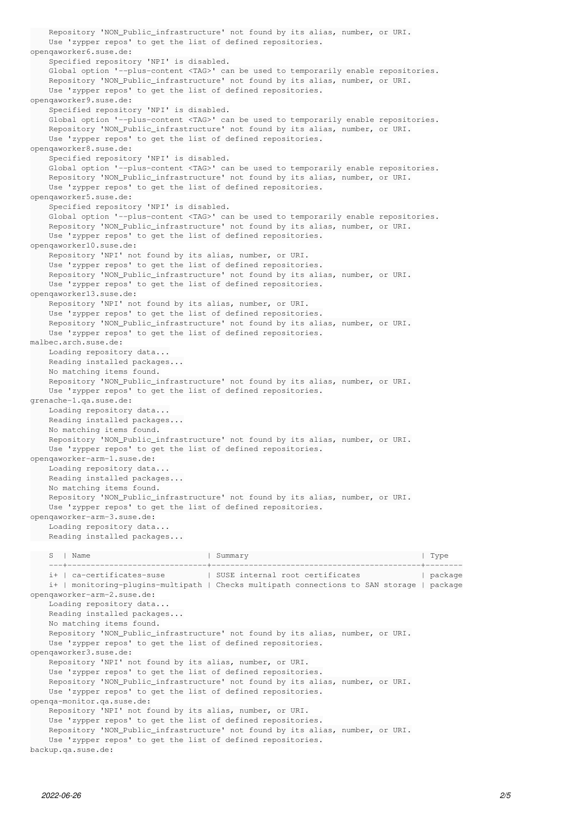Repository 'NON\_Public\_infrastructure' not found by its alias, number, or URI. Use 'zypper repos' to get the list of defined repositories. openqaworker6.suse.de: Specified repository 'NPI' is disabled. Global option '--plus-content <TAG>' can be used to temporarily enable repositories. Repository 'NON\_Public\_infrastructure' not found by its alias, number, or URI. Use 'zypper repos' to get the list of defined repositories. openqaworker9.suse.de: Specified repository 'NPI' is disabled. Global option '--plus-content <TAG>' can be used to temporarily enable repositories. Repository 'NON\_Public\_infrastructure' not found by its alias, number, or URI. Use 'zypper repos' to get the list of defined repositories. openqaworker8.suse.de: Specified repository 'NPI' is disabled. Global option '--plus-content <TAG>' can be used to temporarily enable repositories. Repository 'NON Public infrastructure' not found by its alias, number, or URI. Use 'zypper repos' to get the list of defined repositories. openqaworker5.suse.de: Specified repository 'NPI' is disabled. Global option '--plus-content <TAG>' can be used to temporarily enable repositories. Repository 'NON\_Public\_infrastructure' not found by its alias, number, or URI. Use 'zypper repos' to get the list of defined repositories. openqaworker10.suse.de: Repository 'NPI' not found by its alias, number, or URI. Use 'zypper repos' to get the list of defined repositories. Repository 'NON\_Public\_infrastructure' not found by its alias, number, or URI. Use 'zypper repos' to get the list of defined repositories. openqaworker13.suse.de: Repository 'NPI' not found by its alias, number, or URI. Use 'zypper repos' to get the list of defined repositories. Repository 'NON\_Public\_infrastructure' not found by its alias, number, or URI. Use 'zypper repos' to get the list of defined repositories. malbec.arch.suse.de: Loading repository data... Reading installed packages... No matching items found. Repository 'NON\_Public\_infrastructure' not found by its alias, number, or URI. Use 'zypper repos' to get the list of defined repositories. grenache-1.qa.suse.de: Loading repository data... Reading installed packages... No matching items found. Repository 'NON\_Public\_infrastructure' not found by its alias, number, or URI. Use 'zypper repos' to get the list of defined repositories. openqaworker-arm-1.suse.de: Loading repository data... Reading installed packages... No matching items found. Repository 'NON\_Public\_infrastructure' not found by its alias, number, or URI. Use 'zypper repos' to get the list of defined repositories. openqaworker-arm-3.suse.de: Loading repository data... Reading installed packages... S | Name | Summary | Type ---+------------------------------+---------------------------------------------+-------- i+ | ca-certificates-suse | SUSE internal root certificates | package i+ | monitoring-plugins-multipath | Checks multipath connections to SAN storage | package openqaworker-arm-2.suse.de: Loading repository data... Reading installed packages... No matching items found. Repository 'NON\_Public\_infrastructure' not found by its alias, number, or URI. Use 'zypper repos' to get the list of defined repositories. openqaworker3.suse.de: Repository 'NPI' not found by its alias, number, or URI. Use 'zypper repos' to get the list of defined repositories. Repository 'NON\_Public\_infrastructure' not found by its alias, number, or URI. Use 'zypper repos' to get the list of defined repositories. openqa-monitor.qa.suse.de: Repository 'NPI' not found by its alias, number, or URI. Use 'zypper repos' to get the list of defined repositories. Repository 'NON\_Public\_infrastructure' not found by its alias, number, or URI. Use 'zypper repos' to get the list of defined repositories. backup.qa.suse.de: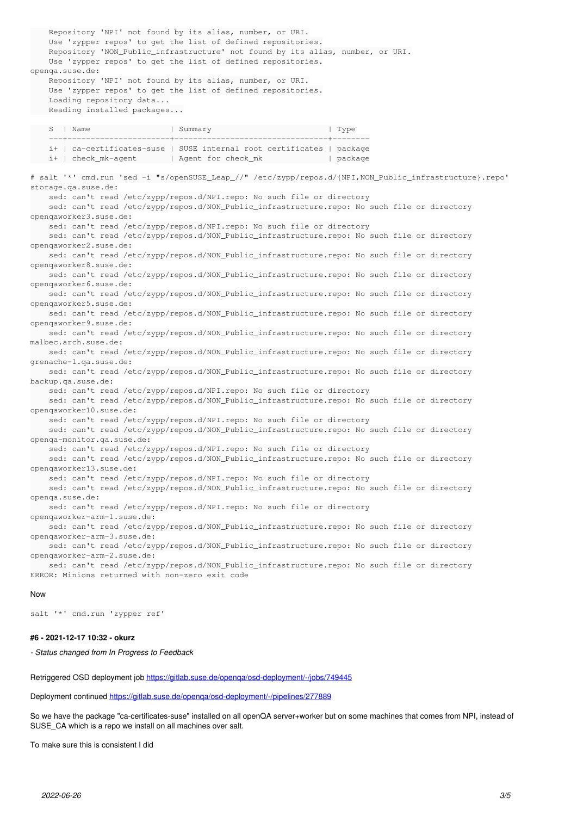Repository 'NPI' not found by its alias, number, or URI. Use 'zypper repos' to get the list of defined repositories. Repository 'NON\_Public\_infrastructure' not found by its alias, number, or URI. Use 'zypper repos' to get the list of defined repositories. openqa.suse.de: Repository 'NPI' not found by its alias, number, or URI. Use 'zypper repos' to get the list of defined repositories. Loading repository data... Reading installed packages... S | Name | Summary | Summary | Type ---+----------------------+---------------------------------+-------- i+ | ca-certificates-suse | SUSE internal root certificates | package i+ | check\_mk-agent | Agent for check\_mk | package # salt '\*' cmd.run 'sed -i "s/openSUSE\_Leap\_//" /etc/zypp/repos.d/{NPI,NON\_Public\_infrastructure}.repo' storage.qa.suse.de: sed: can't read /etc/zypp/repos.d/NPI.repo: No such file or directory sed: can't read /etc/zypp/repos.d/NON\_Public\_infrastructure.repo: No such file or directory openqaworker3.suse.de: sed: can't read /etc/zypp/repos.d/NPI.repo: No such file or directory sed: can't read /etc/zypp/repos.d/NON\_Public\_infrastructure.repo: No such file or directory openqaworker2.suse.de: sed: can't read /etc/zypp/repos.d/NON\_Public\_infrastructure.repo: No such file or directory openqaworker8.suse.de: sed: can't read /etc/zypp/repos.d/NON\_Public\_infrastructure.repo: No such file or directory openqaworker6.suse.de: sed: can't read /etc/zypp/repos.d/NON Public infrastructure.repo: No such file or directory openqaworker5.suse.de: sed: can't read /etc/zypp/repos.d/NON\_Public\_infrastructure.repo: No such file or directory openqaworker9.suse.de: sed: can't read /etc/zypp/repos.d/NON\_Public\_infrastructure.repo: No such file or directory malbec.arch.suse.de: sed: can't read /etc/zypp/repos.d/NON\_Public\_infrastructure.repo: No such file or directory grenache-1.qa.suse.de: sed: can't read /etc/zypp/repos.d/NON\_Public\_infrastructure.repo: No such file or directory backup.qa.suse.de: sed: can't read /etc/zypp/repos.d/NPI.repo: No such file or directory sed: can't read /etc/zypp/repos.d/NON\_Public\_infrastructure.repo: No such file or directory openqaworker10.suse.de: sed: can't read /etc/zypp/repos.d/NPI.repo: No such file or directory sed: can't read /etc/zypp/repos.d/NON\_Public\_infrastructure.repo: No such file or directory openqa-monitor.qa.suse.de: sed: can't read /etc/zypp/repos.d/NPI.repo: No such file or directory sed: can't read /etc/zypp/repos.d/NON\_Public\_infrastructure.repo: No such file or directory openqaworker13.suse.de: sed: can't read /etc/zypp/repos.d/NPI.repo: No such file or directory sed: can't read /etc/zypp/repos.d/NON\_Public\_infrastructure.repo: No such file or directory openqa.suse.de: sed: can't read /etc/zypp/repos.d/NPI.repo: No such file or directory openqaworker-arm-1.suse.de: sed: can't read /etc/zypp/repos.d/NON\_Public\_infrastructure.repo: No such file or directory openqaworker-arm-3.suse.de: sed: can't read /etc/zypp/repos.d/NON\_Public\_infrastructure.repo: No such file or directory openqaworker-arm-2.suse.de: sed: can't read /etc/zypp/repos.d/NON\_Public\_infrastructure.repo: No such file or directory ERROR: Minions returned with non-zero exit code

#### Now

salt '\*' cmd.run 'zypper ref'

#### **#6 - 2021-12-17 10:32 - okurz**

*- Status changed from In Progress to Feedback*

Retriggered OSD deployment job https://gitlab.suse.de/openga/osd-deployment/-/jobs/749445

Deployment continued <https://gitlab.suse.de/openqa/osd-deployment/-/pipelines/277889>

So we have the package "ca-certificates-suse" installed on all openQA server+worker but on some machines that comes from NPI, instead of SUSE\_CA which is a repo we install on all machines over salt.

To make sure this is consistent I did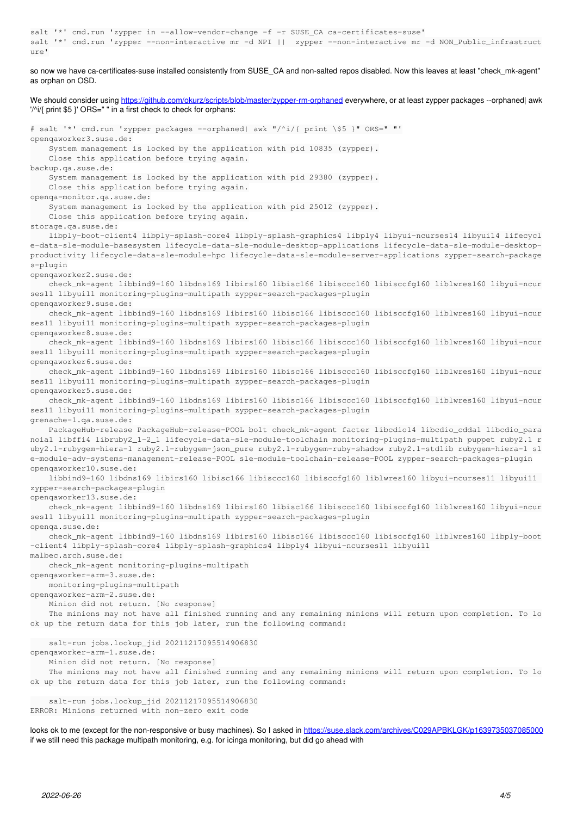```
salt '*' cmd.run 'zypper in --allow-vendor-change -f -r SUSE_CA ca-certificates-suse'
salt '*' cmd.run 'zypper --non-interactive mr -d NPI ||  zypper --non-interactive mr -d NON_Public_infrastruct
\text{line}'
```
so now we have ca-certificates-suse installed consistently from SUSE\_CA and non-salted repos disabled. Now this leaves at least "check\_mk-agent" as orphan on OSD.

We should consider using <https://github.com/okurz/scripts/blob/master/zypper-rm-orphaned>everywhere, or at least zypper packages --orphaned| awk '/^i/{ print \$5 }' ORS=" " in a first check to check for orphans: # salt '\*' cmd.run 'zypper packages --orphaned| awk "/^i/{ print \\$5 }" ORS=" "' openqaworker3.suse.de: System management is locked by the application with pid 10835 (zypper). Close this application before trying again. backup.qa.suse.de: System management is locked by the application with pid 29380 (zypper). Close this application before trying again. openqa-monitor.qa.suse.de: System management is locked by the application with pid 25012 (zypper). Close this application before trying again. storage.qa.suse.de: libply-boot-client4 libply-splash-core4 libply-splash-graphics4 libply4 libyui-ncurses14 libyui14 lifecycl e-data-sle-module-basesystem lifecycle-data-sle-module-desktop-applications lifecycle-data-sle-module-desktopproductivity lifecycle-data-sle-module-hpc lifecycle-data-sle-module-server-applications zypper-search-package s-plugin openqaworker2.suse.de: check\_mk-agent libbind9-160 libdns169 libirs160 libisc166 libisccc160 libisccfg160 liblwres160 libyui-ncur ses11 libyui11 monitoring-plugins-multipath zypper-search-packages-plugin openqaworker9.suse.de: check\_mk-agent libbind9-160 libdns169 libirs160 libisc166 libisccc160 libisccfg160 liblwres160 libyui-ncur ses11 libyui11 monitoring-plugins-multipath zypper-search-packages-plugin openqaworker8.suse.de: check\_mk-agent libbind9-160 libdns169 libirs160 libisc166 libisccc160 libisccfg160 liblwres160 libyui-ncur ses11 libyui11 monitoring-plugins-multipath zypper-search-packages-plugin openqaworker6.suse.de: check\_mk-agent libbind9-160 libdns169 libirs160 libisc166 libisccc160 libisccfg160 liblwres160 libyui-ncur ses11 libyui11 monitoring-plugins-multipath zypper-search-packages-plugin openqaworker5.suse.de: check\_mk-agent libbind9-160 libdns169 libirs160 libisc166 libisccc160 libisccfg160 liblwres160 libyui-ncur ses11 libyui11 monitoring-plugins-multipath zypper-search-packages-plugin grenache-1.qa.suse.de: PackageHub-release PackageHub-release-POOL bolt check\_mk-agent facter libcdio14 libcdio\_cdda1 libcdio\_para noia1 libffi4 libruby2\_1-2\_1 lifecycle-data-sle-module-toolchain monitoring-plugins-multipath puppet ruby2.1 r uby2.1-rubygem-hiera-1 ruby2.1-rubygem-json\_pure ruby2.1-rubygem-ruby-shadow ruby2.1-stdlib rubygem-hiera-1 sl e-module-adv-systems-management-release-POOL sle-module-toolchain-release-POOL zypper-search-packages-plugin openqaworker10.suse.de: libbind9-160 libdns169 libirs160 libisc166 libisccc160 libisccfg160 liblwres160 libyui-ncurses11 libyui11 zypper-search-packages-plugin openqaworker13.suse.de: check\_mk-agent libbind9-160 libdns169 libirs160 libisc166 libisccc160 libisccfq160 liblwres160 libyui-ncur ses11 libyui11 monitoring-plugins-multipath zypper-search-packages-plugin openqa.suse.de: check\_mk-agent libbind9-160 libdns169 libirs160 libisc166 libisccc160 libisccfq160 liblwres160 libply-boot -client4 libply-splash-core4 libply-splash-graphics4 libply4 libyui-ncurses11 libyui11 malbec.arch.suse.de: check\_mk-agent monitoring-plugins-multipath openqaworker-arm-3.suse.de: monitoring-plugins-multipath openqaworker-arm-2.suse.de: Minion did not return. [No response] The minions may not have all finished running and any remaining minions will return upon completion. To lo ok up the return data for this job later, run the following command: salt-run jobs.lookup\_jid 20211217095514906830 openqaworker-arm-1.suse.de: Minion did not return. [No response] The minions may not have all finished running and any remaining minions will return upon completion. To lo ok up the return data for this job later, run the following command: salt-run jobs.lookup\_jid 20211217095514906830 ERROR: Minions returned with non-zero exit code

looks ok to me (except for the non-responsive or busy machines). So I asked in <https://suse.slack.com/archives/C029APBKLGK/p1639735037085000> if we still need this package multipath monitoring, e.g. for icinga monitoring, but did go ahead with